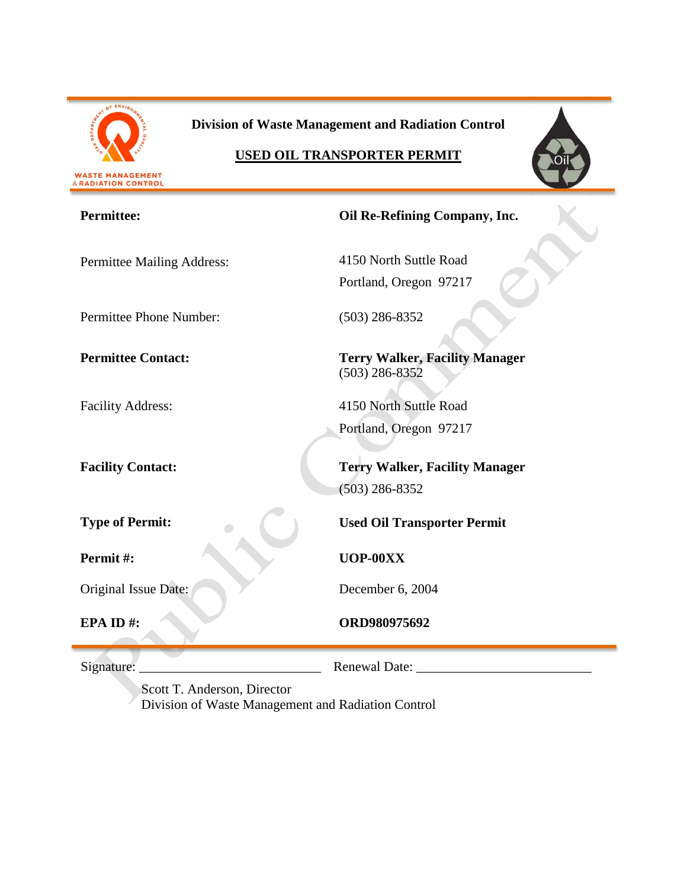

**Division of Waste Management and Radiation Control**

# **USED OIL TRANSPORTER PERMIT**



| <b>Permittee:</b>          | Oil Re-Refining Company, Inc.                             |  |
|----------------------------|-----------------------------------------------------------|--|
| Permittee Mailing Address: | 4150 North Suttle Road<br>Portland, Oregon 97217          |  |
| Permittee Phone Number:    | $(503)$ 286-8352                                          |  |
| <b>Permittee Contact:</b>  | <b>Terry Walker, Facility Manager</b><br>$(503)$ 286-8352 |  |
| <b>Facility Address:</b>   | 4150 North Suttle Road                                    |  |
|                            | Portland, Oregon 97217                                    |  |
| <b>Facility Contact:</b>   | <b>Terry Walker, Facility Manager</b><br>$(503)$ 286-8352 |  |
| <b>Type of Permit:</b>     | <b>Used Oil Transporter Permit</b>                        |  |
| Permit#:                   | UOP-00XX                                                  |  |
| Original Issue Date:       | December 6, 2004                                          |  |
| EPA ID#:                   | ORD980975692                                              |  |
| Signature:                 | Renewal Date:                                             |  |

Scott T. Anderson, Director Division of Waste Management and Radiation Control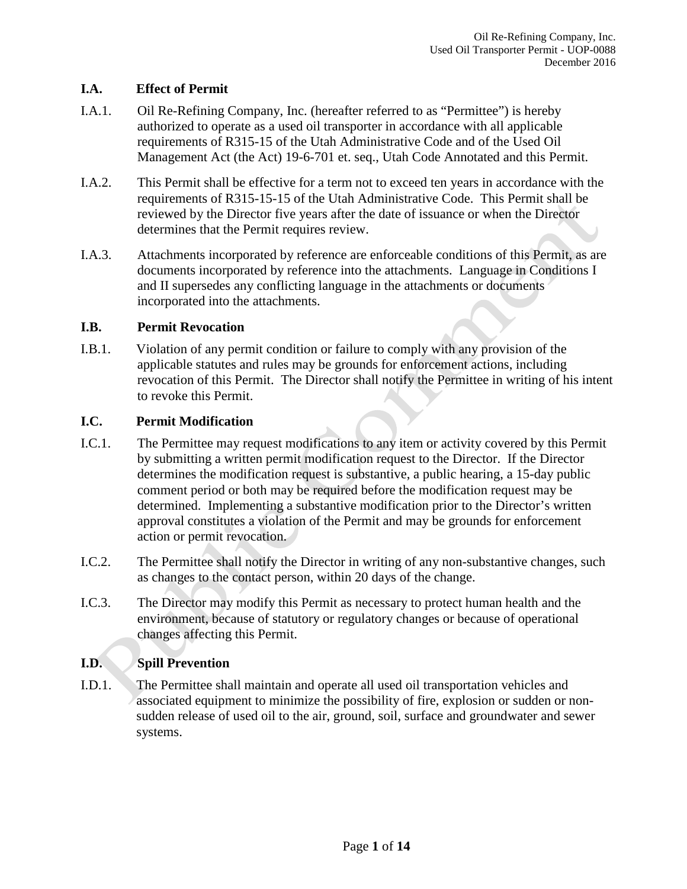## **I.A. Effect of Permit**

- I.A.1. Oil Re-Refining Company, Inc. (hereafter referred to as "Permittee") is hereby authorized to operate as a used oil transporter in accordance with all applicable requirements of R315-15 of the Utah Administrative Code and of the Used Oil Management Act (the Act) 19-6-701 et. seq., Utah Code Annotated and this Permit.
- I.A.2. This Permit shall be effective for a term not to exceed ten years in accordance with the requirements of R315-15-15 of the Utah Administrative Code. This Permit shall be reviewed by the Director five years after the date of issuance or when the Director determines that the Permit requires review.
- I.A.3. Attachments incorporated by reference are enforceable conditions of this Permit, as are documents incorporated by reference into the attachments. Language in Conditions I and II supersedes any conflicting language in the attachments or documents incorporated into the attachments.

## **I.B. Permit Revocation**

I.B.1. Violation of any permit condition or failure to comply with any provision of the applicable statutes and rules may be grounds for enforcement actions, including revocation of this Permit. The Director shall notify the Permittee in writing of his intent to revoke this Permit.

## **I.C. Permit Modification**

- I.C.1. The Permittee may request modifications to any item or activity covered by this Permit by submitting a written permit modification request to the Director. If the Director determines the modification request is substantive, a public hearing, a 15-day public comment period or both may be required before the modification request may be determined. Implementing a substantive modification prior to the Director's written approval constitutes a violation of the Permit and may be grounds for enforcement action or permit revocation.
- I.C.2. The Permittee shall notify the Director in writing of any non-substantive changes, such as changes to the contact person, within 20 days of the change.
- I.C.3. The Director may modify this Permit as necessary to protect human health and the environment, because of statutory or regulatory changes or because of operational changes affecting this Permit.

## **I.D. Spill Prevention**

I.D.1. The Permittee shall maintain and operate all used oil transportation vehicles and associated equipment to minimize the possibility of fire, explosion or sudden or nonsudden release of used oil to the air, ground, soil, surface and groundwater and sewer systems.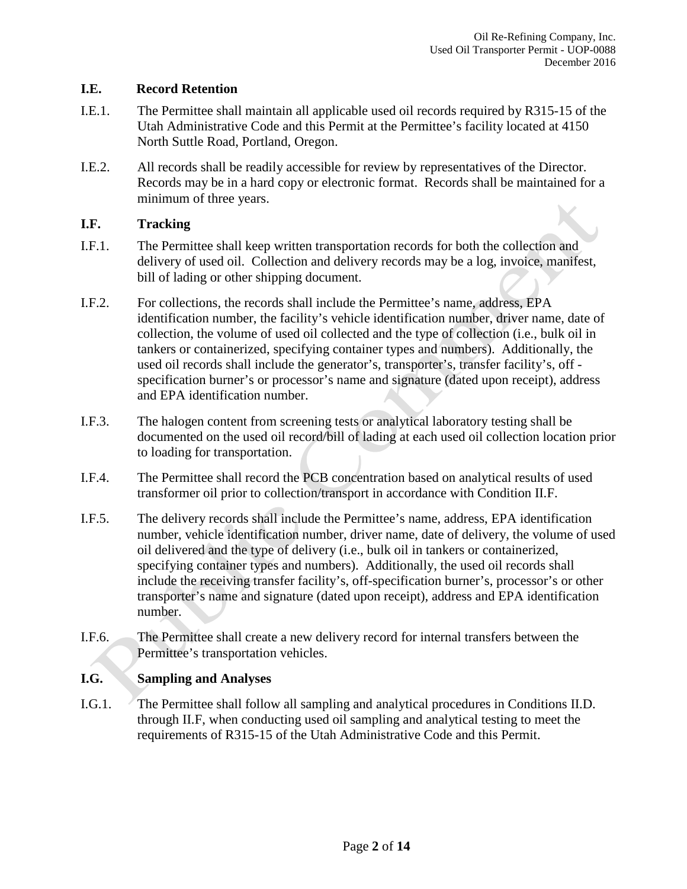#### **I.E. Record Retention**

- I.E.1. The Permittee shall maintain all applicable used oil records required by R315-15 of the Utah Administrative Code and this Permit at the Permittee's facility located at 4150 North Suttle Road, Portland, Oregon.
- I.E.2. All records shall be readily accessible for review by representatives of the Director. Records may be in a hard copy or electronic format. Records shall be maintained for a minimum of three years.

## **I.F. Tracking**

- I.F.1. The Permittee shall keep written transportation records for both the collection and delivery of used oil. Collection and delivery records may be a log, invoice, manifest, bill of lading or other shipping document.
- I.F.2. For collections, the records shall include the Permittee's name, address, EPA identification number, the facility's vehicle identification number, driver name, date of collection, the volume of used oil collected and the type of collection (i.e., bulk oil in tankers or containerized, specifying container types and numbers). Additionally, the used oil records shall include the generator's, transporter's, transfer facility's, off specification burner's or processor's name and signature (dated upon receipt), address and EPA identification number.
- I.F.3. The halogen content from screening tests or analytical laboratory testing shall be documented on the used oil record/bill of lading at each used oil collection location prior to loading for transportation.
- I.F.4. The Permittee shall record the PCB concentration based on analytical results of used transformer oil prior to collection/transport in accordance with Condition II.F.
- I.F.5. The delivery records shall include the Permittee's name, address, EPA identification number, vehicle identification number, driver name, date of delivery, the volume of used oil delivered and the type of delivery (i.e., bulk oil in tankers or containerized, specifying container types and numbers). Additionally, the used oil records shall include the receiving transfer facility's, off-specification burner's, processor's or other transporter's name and signature (dated upon receipt), address and EPA identification number.
- I.F.6. The Permittee shall create a new delivery record for internal transfers between the Permittee's transportation vehicles.

## **I.G. Sampling and Analyses**

I.G.1. The Permittee shall follow all sampling and analytical procedures in Conditions II.D. through II.F, when conducting used oil sampling and analytical testing to meet the requirements of R315-15 of the Utah Administrative Code and this Permit.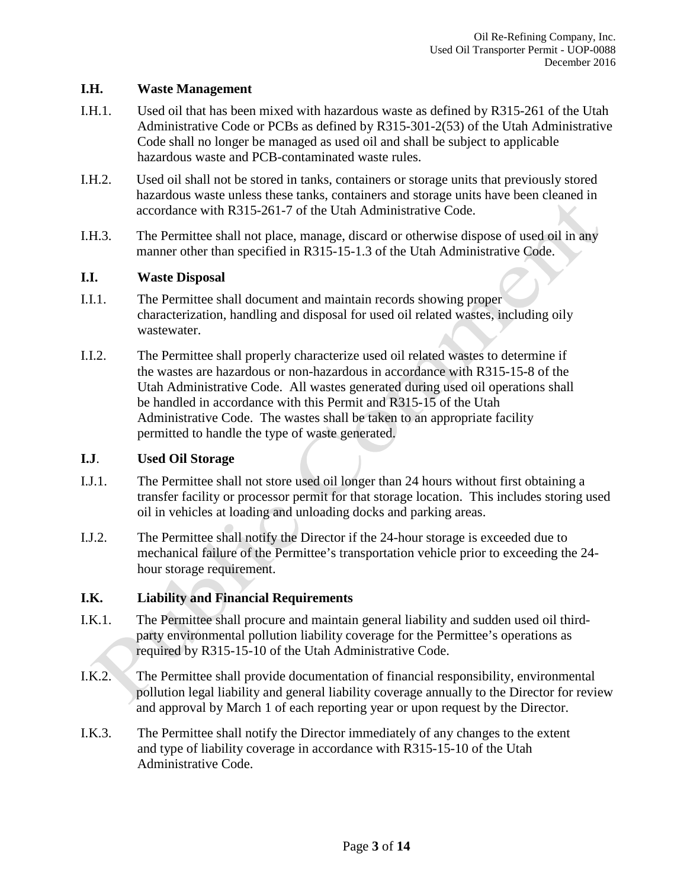#### **I.H. Waste Management**

- I.H.1. Used oil that has been mixed with hazardous waste as defined by R315-261 of the Utah Administrative Code or PCBs as defined by R315-301-2(53) of the Utah Administrative Code shall no longer be managed as used oil and shall be subject to applicable hazardous waste and PCB-contaminated waste rules.
- I.H.2. Used oil shall not be stored in tanks, containers or storage units that previously stored hazardous waste unless these tanks, containers and storage units have been cleaned in accordance with R315-261-7 of the Utah Administrative Code.
- I.H.3. The Permittee shall not place, manage, discard or otherwise dispose of used oil in any manner other than specified in R315-15-1.3 of the Utah Administrative Code.

#### **I.I. Waste Disposal**

- I.I.1. The Permittee shall document and maintain records showing proper characterization, handling and disposal for used oil related wastes, including oily wastewater.
- I.I.2. The Permittee shall properly characterize used oil related wastes to determine if the wastes are hazardous or non-hazardous in accordance with R315-15-8 of the Utah Administrative Code. All wastes generated during used oil operations shall be handled in accordance with this Permit and R315-15 of the Utah Administrative Code. The wastes shall be taken to an appropriate facility permitted to handle the type of waste generated.

#### **I.J**. **Used Oil Storage**

- I.J.1. The Permittee shall not store used oil longer than 24 hours without first obtaining a transfer facility or processor permit for that storage location. This includes storing used oil in vehicles at loading and unloading docks and parking areas.
- I.J.2. The Permittee shall notify the Director if the 24-hour storage is exceeded due to mechanical failure of the Permittee's transportation vehicle prior to exceeding the 24 hour storage requirement.

## **I.K. Liability and Financial Requirements**

- I.K.1. The Permittee shall procure and maintain general liability and sudden used oil thirdparty environmental pollution liability coverage for the Permittee's operations as required by R315-15-10 of the Utah Administrative Code.
- I.K.2. The Permittee shall provide documentation of financial responsibility, environmental pollution legal liability and general liability coverage annually to the Director for review and approval by March 1 of each reporting year or upon request by the Director.
- I.K.3. The Permittee shall notify the Director immediately of any changes to the extent and type of liability coverage in accordance with R315-15-10 of the Utah Administrative Code.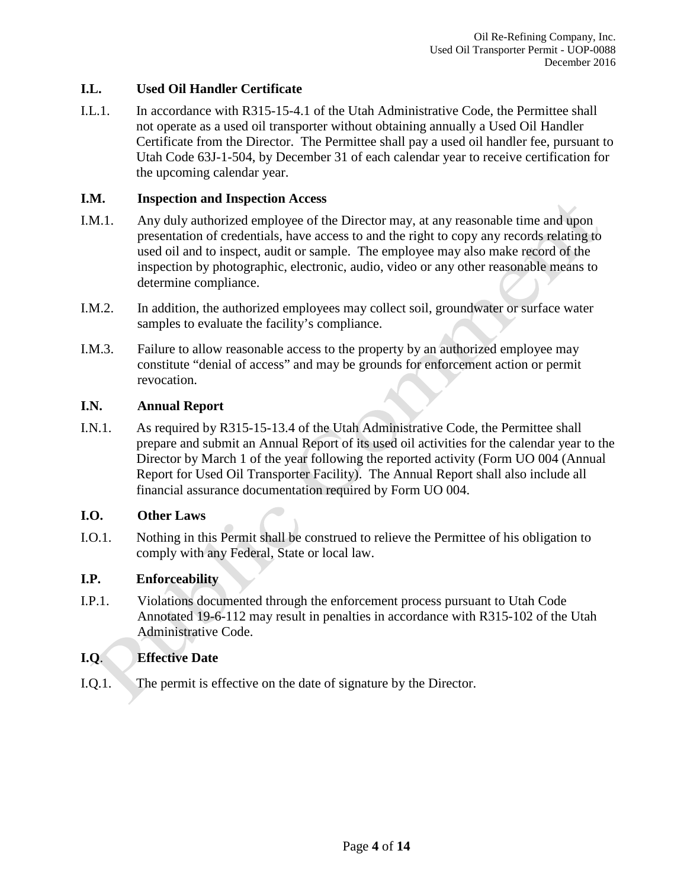#### **I.L. Used Oil Handler Certificate**

I.L.1. In accordance with R315-15-4.1 of the Utah Administrative Code, the Permittee shall not operate as a used oil transporter without obtaining annually a Used Oil Handler Certificate from the Director. The Permittee shall pay a used oil handler fee, pursuant to Utah Code 63J-1-504, by December 31 of each calendar year to receive certification for the upcoming calendar year.

#### **I.M. Inspection and Inspection Access**

- I.M.1. Any duly authorized employee of the Director may, at any reasonable time and upon presentation of credentials, have access to and the right to copy any records relating to used oil and to inspect, audit or sample. The employee may also make record of the inspection by photographic, electronic, audio, video or any other reasonable means to determine compliance.
- I.M.2. In addition, the authorized employees may collect soil, groundwater or surface water samples to evaluate the facility's compliance.
- I.M.3. Failure to allow reasonable access to the property by an authorized employee may constitute "denial of access" and may be grounds for enforcement action or permit revocation.

#### **I.N. Annual Report**

I.N.1. As required by R315-15-13.4 of the Utah Administrative Code, the Permittee shall prepare and submit an Annual Report of its used oil activities for the calendar year to the Director by March 1 of the year following the reported activity (Form UO 004 (Annual Report for Used Oil Transporter Facility). The Annual Report shall also include all financial assurance documentation required by Form UO 004.

## **I.O. Other Laws**

I.O.1. Nothing in this Permit shall be construed to relieve the Permittee of his obligation to comply with any Federal, State or local law.

## **I.P. Enforceability**

I.P.1. Violations documented through the enforcement process pursuant to Utah Code Annotated 19-6-112 may result in penalties in accordance with R315-102 of the Utah Administrative Code.

## **I.Q**. **Effective Date**

I.Q.1. The permit is effective on the date of signature by the Director.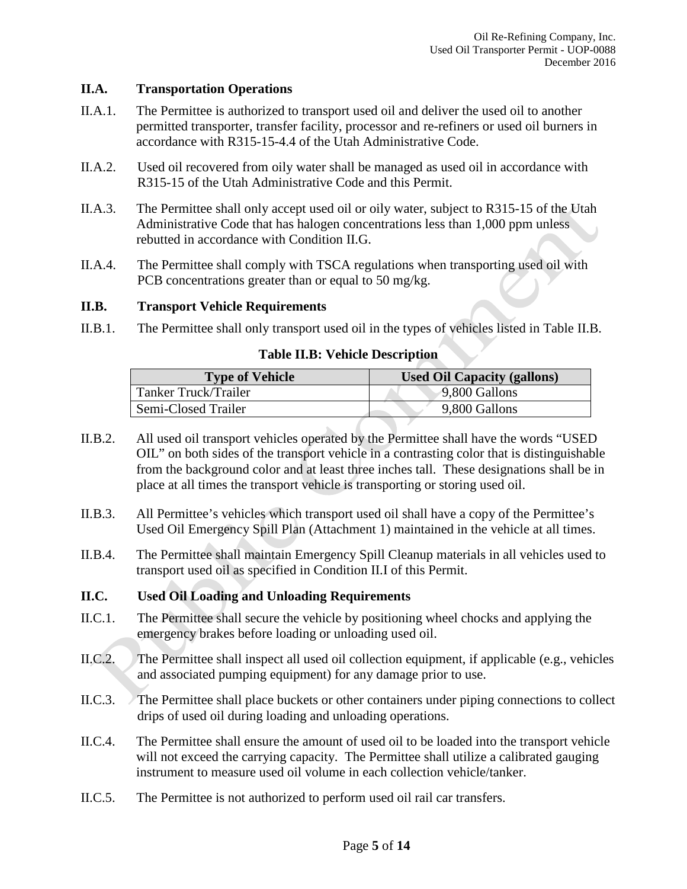#### **II.A. Transportation Operations**

- II.A.1. The Permittee is authorized to transport used oil and deliver the used oil to another permitted transporter, transfer facility, processor and re-refiners or used oil burners in accordance with R315-15-4.4 of the Utah Administrative Code.
- II.A.2. Used oil recovered from oily water shall be managed as used oil in accordance with R315-15 of the Utah Administrative Code and this Permit.
- II.A.3. The Permittee shall only accept used oil or oily water, subject to R315-15 of the Utah Administrative Code that has halogen concentrations less than 1,000 ppm unless rebutted in accordance with Condition II.G.
- II.A.4. The Permittee shall comply with TSCA regulations when transporting used oil with PCB concentrations greater than or equal to 50 mg/kg.

#### **II.B. Transport Vehicle Requirements**

II.B.1. The Permittee shall only transport used oil in the types of vehicles listed in Table II.B.

#### **Table II.B: Vehicle Description**

| <b>Type of Vehicle</b> | <b>Used Oil Capacity (gallons)</b> |
|------------------------|------------------------------------|
| Tanker Truck/Trailer   | 9,800 Gallons                      |
| Semi-Closed Trailer    | 9,800 Gallons                      |

- II.B.2. All used oil transport vehicles operated by the Permittee shall have the words "USED OIL" on both sides of the transport vehicle in a contrasting color that is distinguishable from the background color and at least three inches tall. These designations shall be in place at all times the transport vehicle is transporting or storing used oil.
- II.B.3. All Permittee's vehicles which transport used oil shall have a copy of the Permittee's Used Oil Emergency Spill Plan (Attachment 1) maintained in the vehicle at all times.
- II.B.4. The Permittee shall maintain Emergency Spill Cleanup materials in all vehicles used to transport used oil as specified in Condition II.I of this Permit.

## **II.C. Used Oil Loading and Unloading Requirements**

- II.C.1. The Permittee shall secure the vehicle by positioning wheel chocks and applying the emergency brakes before loading or unloading used oil.
- II.C.2. The Permittee shall inspect all used oil collection equipment, if applicable (e.g., vehicles and associated pumping equipment) for any damage prior to use.
- II.C.3. The Permittee shall place buckets or other containers under piping connections to collect drips of used oil during loading and unloading operations.
- II.C.4. The Permittee shall ensure the amount of used oil to be loaded into the transport vehicle will not exceed the carrying capacity. The Permittee shall utilize a calibrated gauging instrument to measure used oil volume in each collection vehicle/tanker.
- II.C.5. The Permittee is not authorized to perform used oil rail car transfers.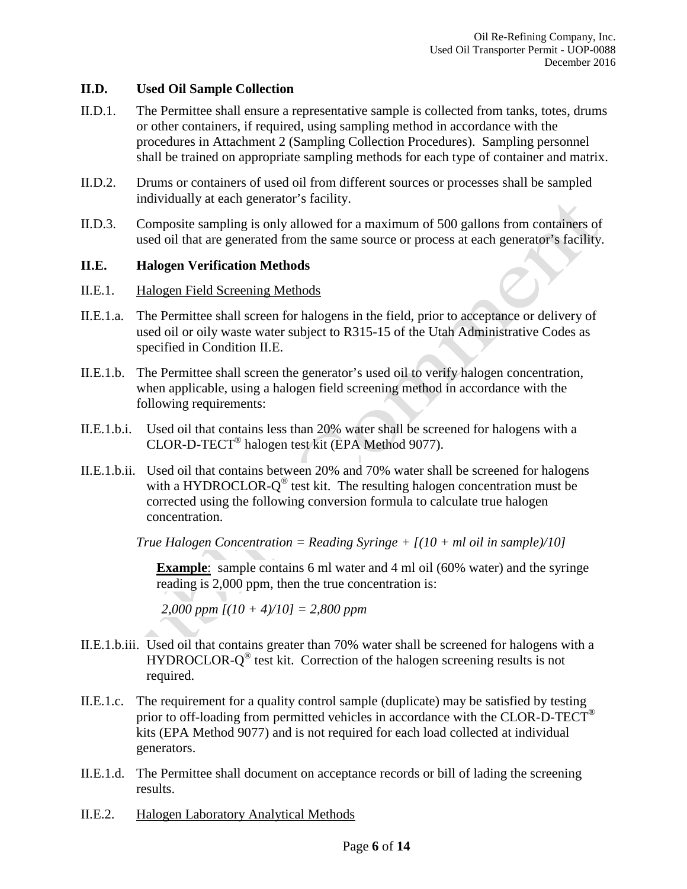#### **II.D. Used Oil Sample Collection**

- II.D.1. The Permittee shall ensure a representative sample is collected from tanks, totes, drums or other containers, if required, using sampling method in accordance with the procedures in Attachment 2 (Sampling Collection Procedures). Sampling personnel shall be trained on appropriate sampling methods for each type of container and matrix.
- II.D.2. Drums or containers of used oil from different sources or processes shall be sampled individually at each generator's facility.
- II.D.3. Composite sampling is only allowed for a maximum of 500 gallons from containers of used oil that are generated from the same source or process at each generator's facility.

#### **II.E. Halogen Verification Methods**

- II.E.1. Halogen Field Screening Methods
- II.E.1.a. The Permittee shall screen for halogens in the field, prior to acceptance or delivery of used oil or oily waste water subject to R315-15 of the Utah Administrative Codes as specified in Condition II.E.
- II.E.1.b. The Permittee shall screen the generator's used oil to verify halogen concentration, when applicable, using a halogen field screening method in accordance with the following requirements:
- II.E.1.b.i. Used oil that contains less than 20% water shall be screened for halogens with a CLOR-D-TECT® halogen test kit (EPA Method 9077).
- II.E.1.b.ii. Used oil that contains between 20% and 70% water shall be screened for halogens with a HYDROCLOR- $Q^{\circledR}$  test kit. The resulting halogen concentration must be corrected using the following conversion formula to calculate true halogen concentration.

*True Halogen Concentration = Reading Syringe + [(10 + ml oil in sample)/10]*

**Example**: sample contains 6 ml water and 4 ml oil (60% water) and the syringe reading is 2,000 ppm, then the true concentration is:

*2,000 ppm [(10 + 4)/10] = 2,800 ppm*

- II.E.1.b.iii. Used oil that contains greater than 70% water shall be screened for halogens with a HYDROCLOR- $Q^{\circledast}$  test kit. Correction of the halogen screening results is not required.
- II.E.1.c. The requirement for a quality control sample (duplicate) may be satisfied by testing prior to off-loading from permitted vehicles in accordance with the CLOR-D-TECT<sup>®</sup> kits (EPA Method 9077) and is not required for each load collected at individual generators.
- II.E.1.d. The Permittee shall document on acceptance records or bill of lading the screening results.
- II.E.2. Halogen Laboratory Analytical Methods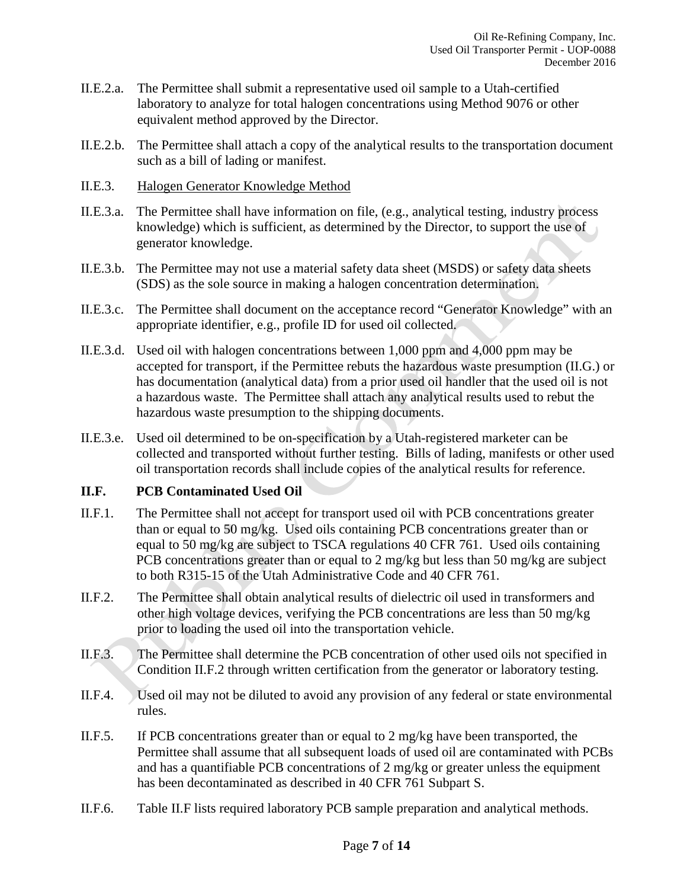- II.E.2.a. The Permittee shall submit a representative used oil sample to a Utah-certified laboratory to analyze for total halogen concentrations using Method 9076 or other equivalent method approved by the Director.
- II.E.2.b. The Permittee shall attach a copy of the analytical results to the transportation document such as a bill of lading or manifest.
- II.E.3. Halogen Generator Knowledge Method
- II.E.3.a. The Permittee shall have information on file, (e.g., analytical testing, industry process knowledge) which is sufficient, as determined by the Director, to support the use of generator knowledge.
- II.E.3.b. The Permittee may not use a material safety data sheet (MSDS) or safety data sheets (SDS) as the sole source in making a halogen concentration determination.
- II.E.3.c. The Permittee shall document on the acceptance record "Generator Knowledge" with an appropriate identifier, e.g., profile ID for used oil collected.
- II.E.3.d. Used oil with halogen concentrations between 1,000 ppm and 4,000 ppm may be accepted for transport, if the Permittee rebuts the hazardous waste presumption (II.G.) or has documentation (analytical data) from a prior used oil handler that the used oil is not a hazardous waste. The Permittee shall attach any analytical results used to rebut the hazardous waste presumption to the shipping documents.
- II.E.3.e. Used oil determined to be on-specification by a Utah-registered marketer can be collected and transported without further testing. Bills of lading, manifests or other used oil transportation records shall include copies of the analytical results for reference.

## **II.F. PCB Contaminated Used Oil**

- II.F.1. The Permittee shall not accept for transport used oil with PCB concentrations greater than or equal to 50 mg/kg. Used oils containing PCB concentrations greater than or equal to 50 mg/kg are subject to TSCA regulations 40 CFR 761. Used oils containing PCB concentrations greater than or equal to 2 mg/kg but less than 50 mg/kg are subject to both R315-15 of the Utah Administrative Code and 40 CFR 761.
- II.F.2. The Permittee shall obtain analytical results of dielectric oil used in transformers and other high voltage devices, verifying the PCB concentrations are less than 50 mg/kg prior to loading the used oil into the transportation vehicle.
- II.F.3. The Permittee shall determine the PCB concentration of other used oils not specified in Condition II.F.2 through written certification from the generator or laboratory testing.
- II.F.4. Used oil may not be diluted to avoid any provision of any federal or state environmental rules.
- II.F.5. If PCB concentrations greater than or equal to 2 mg/kg have been transported, the Permittee shall assume that all subsequent loads of used oil are contaminated with PCBs and has a quantifiable PCB concentrations of 2 mg/kg or greater unless the equipment has been decontaminated as described in 40 CFR 761 Subpart S.
- II.F.6. Table II.F lists required laboratory PCB sample preparation and analytical methods.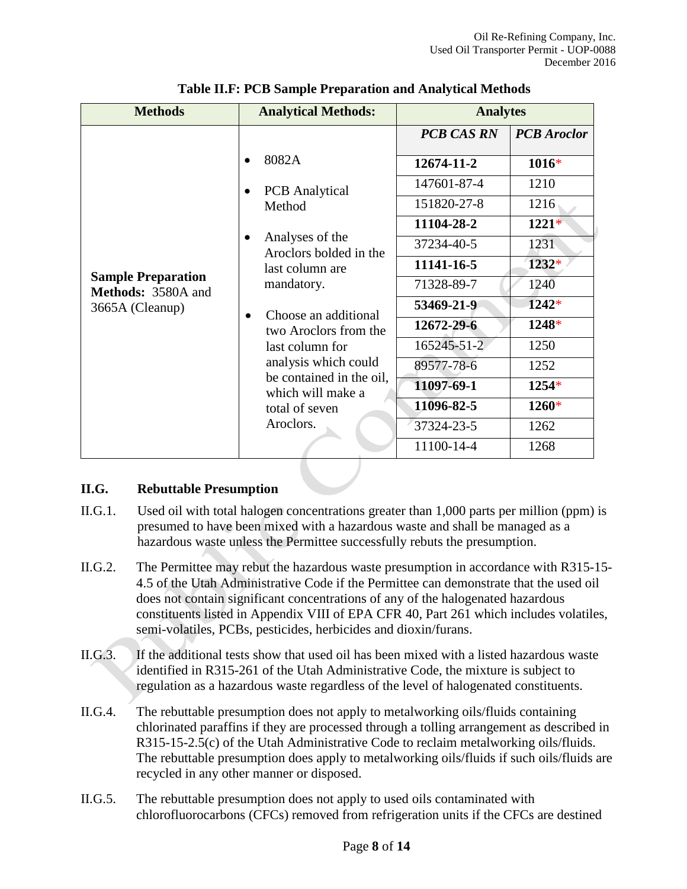| <b>Methods</b>                                                                                                                                                                                           | <b>Analytical Methods:</b>                                                                                                                          | <b>Analytes</b>   |                    |
|----------------------------------------------------------------------------------------------------------------------------------------------------------------------------------------------------------|-----------------------------------------------------------------------------------------------------------------------------------------------------|-------------------|--------------------|
|                                                                                                                                                                                                          |                                                                                                                                                     | <b>PCB CAS RN</b> | <b>PCB</b> Aroclor |
|                                                                                                                                                                                                          | 8082A<br><b>PCB</b> Analytical<br>Method<br>Analyses of the<br>Aroclors bolded in the<br>last column are<br><b>Sample Preparation</b><br>mandatory. | 12674-11-2        | $1016*$            |
|                                                                                                                                                                                                          |                                                                                                                                                     | 147601-87-4       | 1210               |
|                                                                                                                                                                                                          |                                                                                                                                                     | 151820-27-8       | 1216               |
|                                                                                                                                                                                                          |                                                                                                                                                     | 11104-28-2        | $1221*$            |
|                                                                                                                                                                                                          |                                                                                                                                                     | 37234-40-5        | 1231               |
|                                                                                                                                                                                                          |                                                                                                                                                     | 11141-16-5        | 1232*              |
| <b>Methods: 3580A and</b>                                                                                                                                                                                |                                                                                                                                                     | 71328-89-7        | 1240               |
| 3665A (Cleanup)<br>Choose an additional<br>$\bullet$<br>two Aroclors from the<br>last column for<br>analysis which could<br>be contained in the oil,<br>which will make a<br>total of seven<br>Aroclors. | 53469-21-9                                                                                                                                          | $1242*$           |                    |
|                                                                                                                                                                                                          |                                                                                                                                                     | 12672-29-6        | 1248*              |
|                                                                                                                                                                                                          |                                                                                                                                                     | 165245-51-2       | 1250               |
|                                                                                                                                                                                                          |                                                                                                                                                     | 89577-78-6        | 1252               |
|                                                                                                                                                                                                          |                                                                                                                                                     | 11097-69-1        | 1254*              |
|                                                                                                                                                                                                          |                                                                                                                                                     | 11096-82-5        | 1260*              |
|                                                                                                                                                                                                          |                                                                                                                                                     | 37324-23-5        | 1262               |
|                                                                                                                                                                                                          | 11100-14-4                                                                                                                                          | 1268              |                    |

**Table II.F: PCB Sample Preparation and Analytical Methods**

## **II.G. Rebuttable Presumption**

- II.G.1. Used oil with total halogen concentrations greater than 1,000 parts per million (ppm) is presumed to have been mixed with a hazardous waste and shall be managed as a hazardous waste unless the Permittee successfully rebuts the presumption.
- II.G.2. The Permittee may rebut the hazardous waste presumption in accordance with R315-15- 4.5 of the Utah Administrative Code if the Permittee can demonstrate that the used oil does not contain significant concentrations of any of the halogenated hazardous constituents listed in Appendix VIII of EPA CFR 40, Part 261 which includes volatiles, semi-volatiles, PCBs, pesticides, herbicides and dioxin/furans.
- II.G.3. If the additional tests show that used oil has been mixed with a listed hazardous waste identified in R315-261 of the Utah Administrative Code, the mixture is subject to regulation as a hazardous waste regardless of the level of halogenated constituents.
- II.G.4. The rebuttable presumption does not apply to metalworking oils/fluids containing chlorinated paraffins if they are processed through a tolling arrangement as described in R315-15-2.5(c) of the Utah Administrative Code to reclaim metalworking oils/fluids. The rebuttable presumption does apply to metalworking oils/fluids if such oils/fluids are recycled in any other manner or disposed.
- II.G.5. The rebuttable presumption does not apply to used oils contaminated with chlorofluorocarbons (CFCs) removed from refrigeration units if the CFCs are destined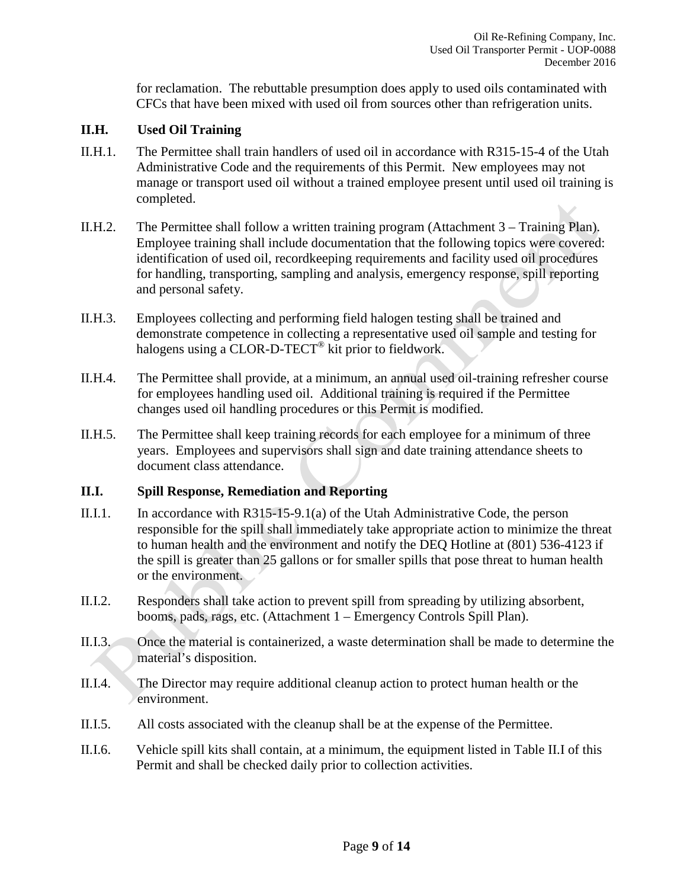for reclamation. The rebuttable presumption does apply to used oils contaminated with CFCs that have been mixed with used oil from sources other than refrigeration units.

## **II.H. Used Oil Training**

- II.H.1. The Permittee shall train handlers of used oil in accordance with R315-15-4 of the Utah Administrative Code and the requirements of this Permit. New employees may not manage or transport used oil without a trained employee present until used oil training is completed.
- II.H.2. The Permittee shall follow a written training program (Attachment 3 Training Plan). Employee training shall include documentation that the following topics were covered: identification of used oil, recordkeeping requirements and facility used oil procedures for handling, transporting, sampling and analysis, emergency response, spill reporting and personal safety.
- II.H.3. Employees collecting and performing field halogen testing shall be trained and demonstrate competence in collecting a representative used oil sample and testing for halogens using a CLOR-D-TECT<sup>®</sup> kit prior to fieldwork.
- II.H.4. The Permittee shall provide, at a minimum, an annual used oil-training refresher course for employees handling used oil. Additional training is required if the Permittee changes used oil handling procedures or this Permit is modified.
- II.H.5. The Permittee shall keep training records for each employee for a minimum of three years. Employees and supervisors shall sign and date training attendance sheets to document class attendance.

## **II.I. Spill Response, Remediation and Reporting**

- II.I.1. In accordance with R315-15-9.1(a) of the Utah Administrative Code, the person responsible for the spill shall immediately take appropriate action to minimize the threat to human health and the environment and notify the DEQ Hotline at (801) 536-4123 if the spill is greater than 25 gallons or for smaller spills that pose threat to human health or the environment.
- II.I.2. Responders shall take action to prevent spill from spreading by utilizing absorbent, booms, pads, rags, etc. (Attachment 1 – Emergency Controls Spill Plan).
- II.I.3. Once the material is containerized, a waste determination shall be made to determine the material's disposition.
- II.I.4. The Director may require additional cleanup action to protect human health or the environment.
- II.I.5. All costs associated with the cleanup shall be at the expense of the Permittee.
- II.I.6. Vehicle spill kits shall contain, at a minimum, the equipment listed in Table II.I of this Permit and shall be checked daily prior to collection activities.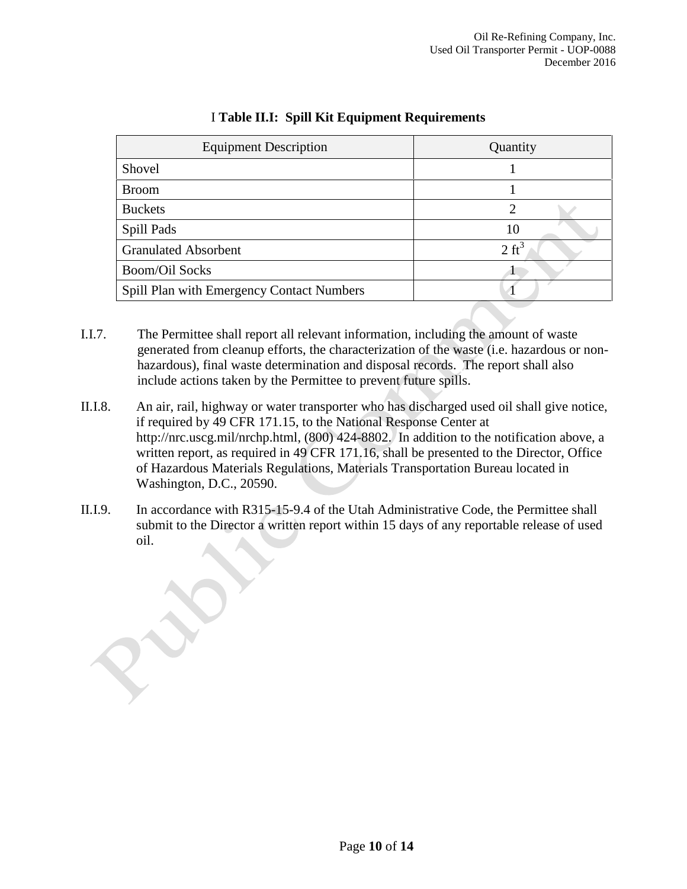| <b>Equipment Description</b>              | Quantity         |  |
|-------------------------------------------|------------------|--|
| Shovel                                    |                  |  |
| <b>Broom</b>                              |                  |  |
| <b>Buckets</b>                            | 2                |  |
| Spill Pads                                | 10               |  |
| <b>Granulated Absorbent</b>               | $2 \text{ ft}^3$ |  |
| <b>Boom/Oil Socks</b>                     |                  |  |
| Spill Plan with Emergency Contact Numbers |                  |  |

## I **Table II.I: Spill Kit Equipment Requirements**

I.I.7. The Permittee shall report all relevant information, including the amount of waste generated from cleanup efforts, the characterization of the waste (i.e. hazardous or nonhazardous), final waste determination and disposal records. The report shall also include actions taken by the Permittee to prevent future spills.

- II.I.8. An air, rail, highway or water transporter who has discharged used oil shall give notice, if required by 49 CFR 171.15, to the National Response Center at http://nrc.uscg.mil/nrchp.html, (800) 424-8802. In addition to the notification above, a written report, as required in 49 CFR 171.16, shall be presented to the Director, Office of Hazardous Materials Regulations, Materials Transportation Bureau located in Washington, D.C., 20590.
- II.I.9. In accordance with R315-15-9.4 of the Utah Administrative Code, the Permittee shall submit to the Director a written report within 15 days of any reportable release of used oil.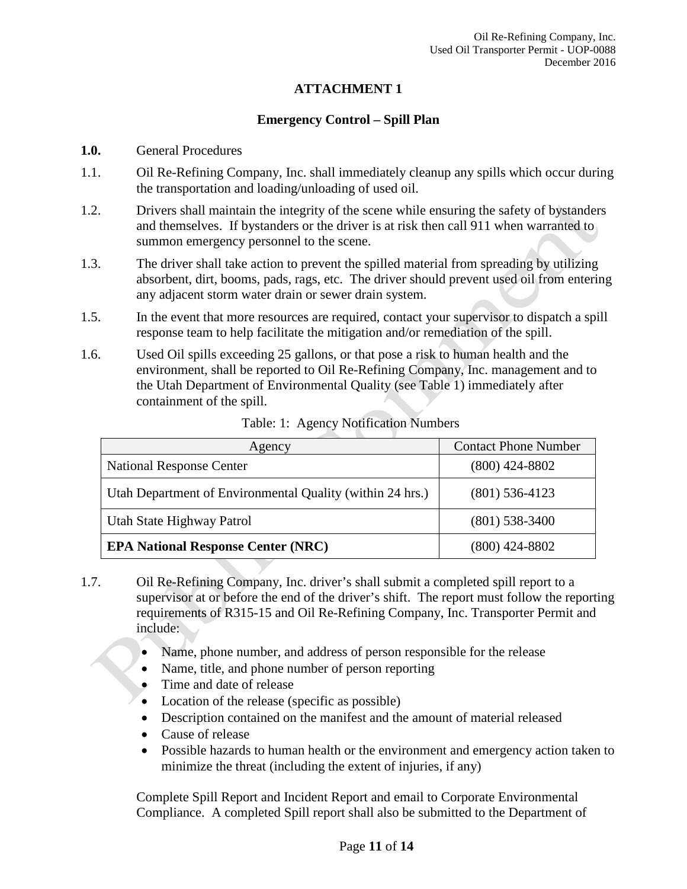#### **ATTACHMENT 1**

#### **Emergency Control – Spill Plan**

#### **1.0.** General Procedures

- 1.1. Oil Re-Refining Company, Inc. shall immediately cleanup any spills which occur during the transportation and loading/unloading of used oil.
- 1.2. Drivers shall maintain the integrity of the scene while ensuring the safety of bystanders and themselves. If bystanders or the driver is at risk then call 911 when warranted to summon emergency personnel to the scene.
- 1.3. The driver shall take action to prevent the spilled material from spreading by utilizing absorbent, dirt, booms, pads, rags, etc. The driver should prevent used oil from entering any adjacent storm water drain or sewer drain system.
- 1.5. In the event that more resources are required, contact your supervisor to dispatch a spill response team to help facilitate the mitigation and/or remediation of the spill.
- 1.6. Used Oil spills exceeding 25 gallons, or that pose a risk to human health and the environment, shall be reported to Oil Re-Refining Company, Inc. management and to the Utah Department of Environmental Quality (see Table 1) immediately after containment of the spill.

| Agency                                                    | <b>Contact Phone Number</b> |  |
|-----------------------------------------------------------|-----------------------------|--|
| <b>National Response Center</b>                           | $(800)$ 424-8802            |  |
| Utah Department of Environmental Quality (within 24 hrs.) | $(801)$ 536-4123            |  |
| Utah State Highway Patrol                                 | $(801)$ 538-3400            |  |
| <b>EPA National Response Center (NRC)</b>                 | $(800)$ 424-8802            |  |

Table: 1: Agency Notification Numbers

- 1.7. Oil Re-Refining Company, Inc. driver's shall submit a completed spill report to a supervisor at or before the end of the driver's shift. The report must follow the reporting requirements of R315-15 and Oil Re-Refining Company, Inc. Transporter Permit and include:
	- Name, phone number, and address of person responsible for the release
	- Name, title, and phone number of person reporting
	- Time and date of release
	- Location of the release (specific as possible)
	- Description contained on the manifest and the amount of material released
	- Cause of release
	- Possible hazards to human health or the environment and emergency action taken to minimize the threat (including the extent of injuries, if any)

Complete Spill Report and Incident Report and email to Corporate Environmental Compliance. A completed Spill report shall also be submitted to the Department of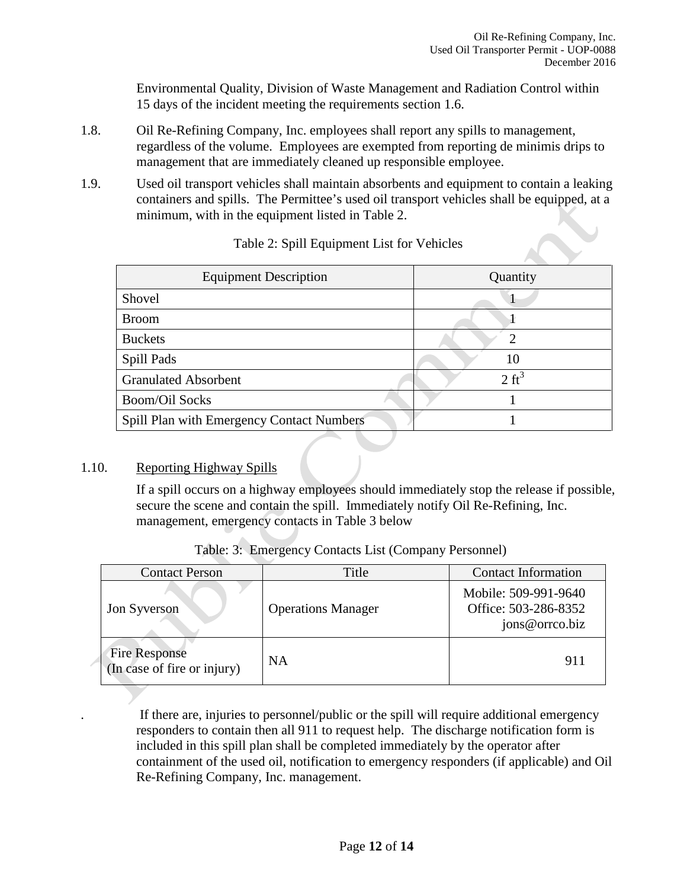Environmental Quality, Division of Waste Management and Radiation Control within 15 days of the incident meeting the requirements section 1.6.

- 1.8. Oil Re-Refining Company, Inc. employees shall report any spills to management, regardless of the volume. Employees are exempted from reporting de minimis drips to management that are immediately cleaned up responsible employee.
- 1.9. Used oil transport vehicles shall maintain absorbents and equipment to contain a leaking containers and spills. The Permittee's used oil transport vehicles shall be equipped, at a minimum, with in the equipment listed in Table 2.

| <b>Equipment Description</b>              | Quantity         |
|-------------------------------------------|------------------|
| Shovel                                    |                  |
| <b>Broom</b>                              |                  |
| <b>Buckets</b>                            | 7                |
| Spill Pads                                | 10               |
| <b>Granulated Absorbent</b>               | $2 \text{ ft}^3$ |
| <b>Boom/Oil Socks</b>                     |                  |
| Spill Plan with Emergency Contact Numbers |                  |

## Table 2: Spill Equipment List for Vehicles

## 1.10. Reporting Highway Spills

If a spill occurs on a highway employees should immediately stop the release if possible, secure the scene and contain the spill. Immediately notify Oil Re-Refining, Inc. management, emergency contacts in Table 3 below

| <b>Contact Person</b>                               | Title                     | <b>Contact Information</b>                                     |
|-----------------------------------------------------|---------------------------|----------------------------------------------------------------|
| Jon Syverson                                        | <b>Operations Manager</b> | Mobile: 509-991-9640<br>Office: 503-286-8352<br>jons@orrco.biz |
| <b>Fire Response</b><br>(In case of fire or injury) | <b>NA</b>                 | 911                                                            |

Table: 3: Emergency Contacts List (Company Personnel)

. If there are, injuries to personnel/public or the spill will require additional emergency responders to contain then all 911 to request help. The discharge notification form is included in this spill plan shall be completed immediately by the operator after containment of the used oil, notification to emergency responders (if applicable) and Oil Re-Refining Company, Inc. management.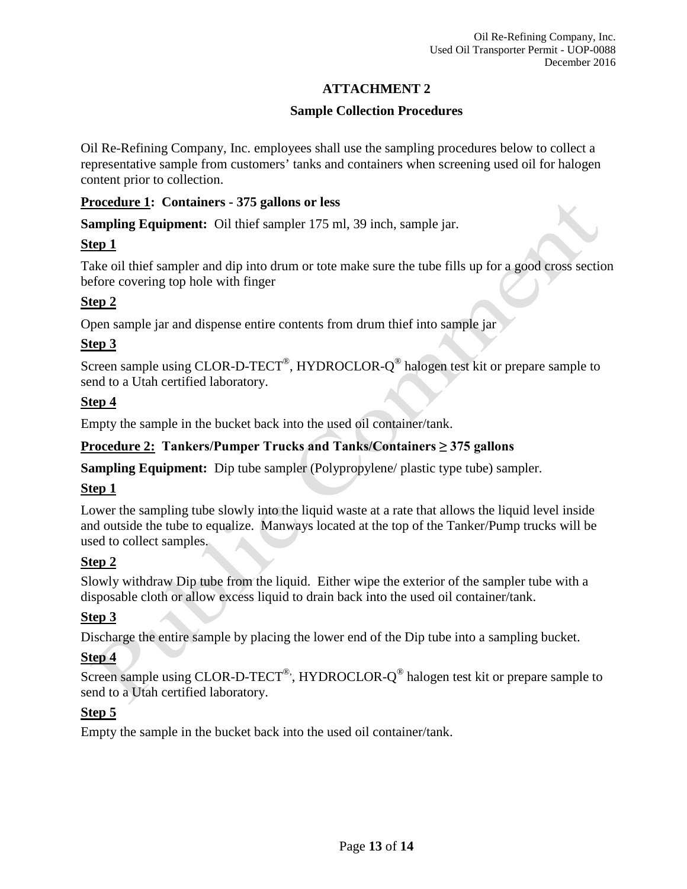## **ATTACHMENT 2**

## **Sample Collection Procedures**

Oil Re-Refining Company, Inc. employees shall use the sampling procedures below to collect a representative sample from customers' tanks and containers when screening used oil for halogen content prior to collection.

## **Procedure 1: Containers - 375 gallons or less**

**Sampling Equipment:** Oil thief sampler 175 ml, 39 inch, sample jar.

## **Step 1**

Take oil thief sampler and dip into drum or tote make sure the tube fills up for a good cross section before covering top hole with finger

## **Step 2**

Open sample jar and dispense entire contents from drum thief into sample jar

## **Step 3**

Screen sample using CLOR-D-TECT<sup>®</sup>, HYDROCLOR- $Q^@$  halogen test kit or prepare sample to send to a Utah certified laboratory.

## **Step 4**

Empty the sample in the bucket back into the used oil container/tank.

## **Procedure 2: Tankers/Pumper Trucks and Tanks/Containers ≥ 375 gallons**

**Sampling Equipment:** Dip tube sampler (Polypropylene/ plastic type tube) sampler.

## **Step 1**

Lower the sampling tube slowly into the liquid waste at a rate that allows the liquid level inside and outside the tube to equalize. Manways located at the top of the Tanker/Pump trucks will be used to collect samples.

## **Step 2**

Slowly withdraw Dip tube from the liquid. Either wipe the exterior of the sampler tube with a disposable cloth or allow excess liquid to drain back into the used oil container/tank.

## **Step 3**

Discharge the entire sample by placing the lower end of the Dip tube into a sampling bucket.

## **Step 4**

Screen sample using CLOR-D-TECT®, HYDROCLOR- $Q^{\circledast}$  halogen test kit or prepare sample to send to a Utah certified laboratory.

## **Step 5**

Empty the sample in the bucket back into the used oil container/tank.